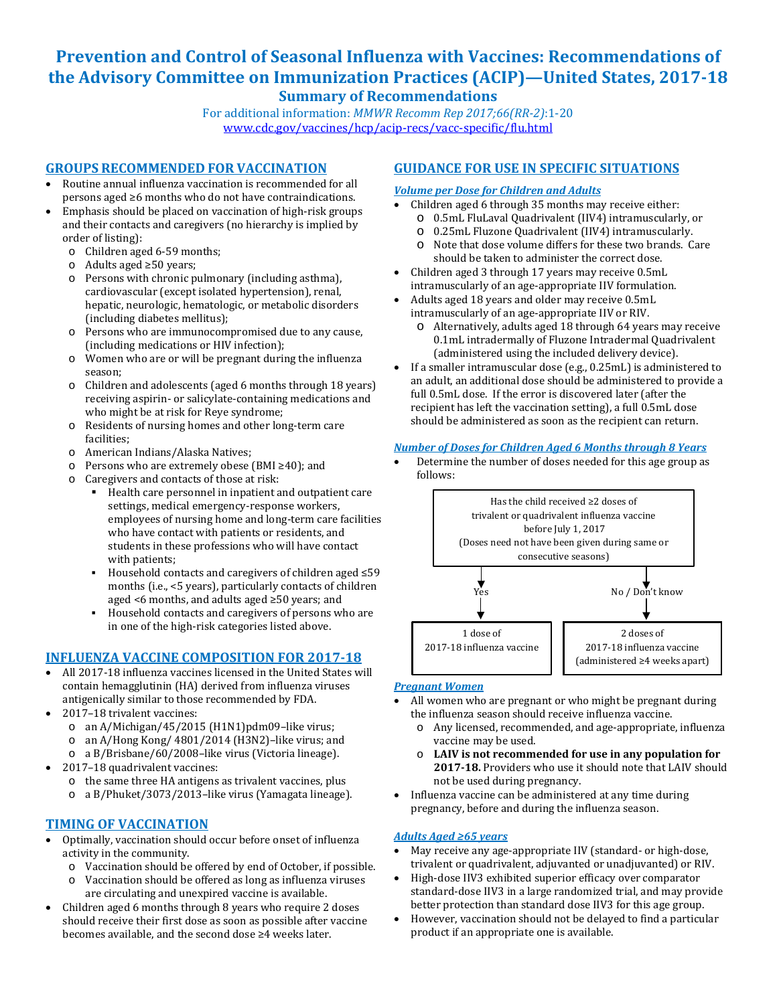# **Prevention and Control of Seasonal Influenza with Vaccines: Recommendations of the Advisory Committee on Immunization Practices (ACIP)—United States, 2017-18 Summary of Recommendations**

For additional information: *MMWR Recomm Rep 2017;66(RR-2)*:1-20 [www.cdc.gov/vaccines/hcp/acip-recs/vacc-specific/flu.html](https://www.cdc.gov/vaccines/hcp/acip-recs/vacc-specific/flu.html)

# **GROUPS RECOMMENDED FOR VACCINATION**

- Routine annual influenza vaccination is recommended for all persons aged ≥6 months who do not have contraindications.
- Emphasis should be placed on vaccination of high-risk groups and their contacts and caregivers (no hierarchy is implied by order of listing):
	- o Children aged 6-59 months;
	- o Adults aged ≥50 years;
	- o Persons with chronic pulmonary (including asthma), cardiovascular (except isolated hypertension), renal, hepatic, neurologic, hematologic, or metabolic disorders (including diabetes mellitus);
	- o Persons who are immunocompromised due to any cause, (including medications or HIV infection);
	- o Women who are or will be pregnant during the influenza season;
	- o Children and adolescents (aged 6 months through 18 years) receiving aspirin- or salicylate-containing medications and who might be at risk for Reye syndrome;
	- o Residents of nursing homes and other long-term care facilities;
	- o American Indians/Alaska Natives;
	- o Persons who are extremely obese (BMI ≥40); and
	- o Caregivers and contacts of those at risk:
		- . Health care personnel in inpatient and outpatient care settings, medical emergency-response workers, employees of nursing home and long-term care facilities who have contact with patients or residents, and students in these professions who will have contact with patients;
		- . Household contacts and caregivers of children aged ≤59 months (i.e., <5 years), particularly contacts of children aged <6 months, and adults aged ≥50 years; and
		- . Household contacts and caregivers of persons who are in one of the high-risk categories listed above.

## **INFLUENZA VACCINE COMPOSITION FOR 2017-18**

- All 2017-18 influenza vaccines licensed in the United States will contain hemagglutinin (HA) derived from influenza viruses antigenically similar to those recommended by FDA.
- 2017–18 trivalent vaccines:
	- o an A/Michigan/45/2015 (H1N1)pdm09–like virus;
	- o an A/Hong Kong/ 4801/2014 (H3N2)–like virus; and
	- o a B/Brisbane/60/2008–like virus (Victoria lineage).
- 2017–18 quadrivalent vaccines:
	- o the same three HA antigens as trivalent vaccines, plus o a B/Phuket/3073/2013–like virus (Yamagata lineage).

## **TIMING OF VACCINATION**

- Optimally, vaccination should occur before onset of influenza activity in the community.
	- o Vaccination should be offered by end of October, if possible.
	- o Vaccination should be offered as long as influenza viruses are circulating and unexpired vaccine is available.
- Children aged 6 months through 8 years who require 2 doses should receive their first dose as soon as possible after vaccine becomes available, and the second dose ≥4 weeks later.

## **GUIDANCE FOR USE IN SPECIFIC SITUATIONS**

### *Volume per Dose for Children and Adults*

- o 0.5mL FluLaval Quadrivalent (IIV4) intramuscularly, or Children aged 6 through 35 months may receive either:
	- o 0.25mL Fluzone Quadrivalent (IIV4) intramuscularly.
	- o Note that dose volume differs for these two brands. Care should be taken to administer the correct dose.
- Children aged 3 through 17 years may receive 0.5mL intramuscularly of an age-appropriate IIV formulation.
- Adults aged 18 years and older may receive 0.5mL intramuscularly of an age-appropriate IIV or RIV.
	- o Alternatively, adults aged 18 through 64 years may receive 0.1mL intradermally of Fluzone Intradermal Quadrivalent (administered using the included delivery device).
- If a smaller intramuscular dose (e.g., 0.25mL) is administered to an adult, an additional dose should be administered to provide a full 0.5mL dose. If the error is discovered later (after the recipient has left the vaccination setting), a full 0.5mL dose should be administered as soon as the recipient can return.

## *Number of Doses for Children Aged 6 Months through 8 Years*

• Determine the number of doses needed for this age group as follows:



### *Pregnant Women*

- All women who are pregnant or who might be pregnant during the influenza season should receive influenza vaccine.
	- o Any licensed, recommended, and age-appropriate, influenza vaccine may be used.
	- o **LAIV is not recommended for use in any population for 2017-18.** Providers who use it should note that LAIV should not be used during pregnancy.
- $\bullet$ Influenza vaccine can be administered at any time during pregnancy, before and during the influenza season.

### *Adults Aged ≥65 years*

- May receive any age-appropriate IIV (standard- or high-dose, trivalent or quadrivalent, adjuvanted or unadjuvanted) or RIV.
- High-dose IIV3 exhibited superior efficacy over comparator standard-dose IIV3 in a large randomized trial, and may provide better protection than standard dose IIV3 for this age group.
- However, vaccination should not be delayed to find a particular product if an appropriate one is available.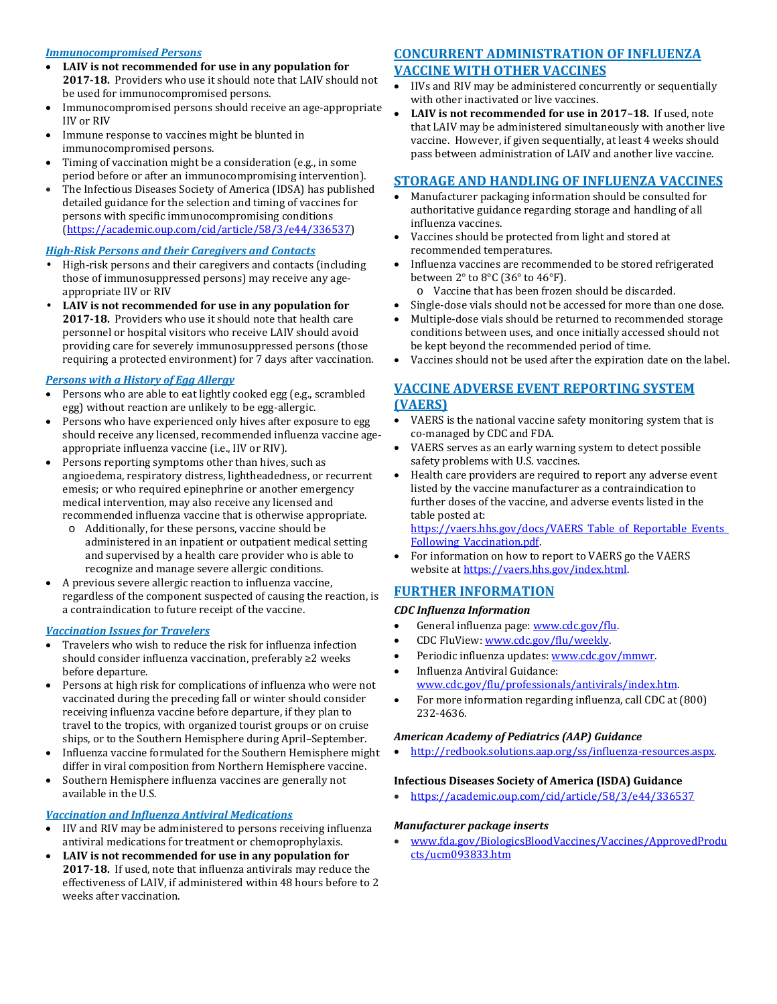### *Immunocompromised Persons*

- **LAIV is not recommended for use in any population for 2017-18.** Providers who use it should note that LAIV should not be used for immunocompromised persons.
- Immunocompromised persons should receive an age-appropriate IIV or RIV
- Immune response to vaccines might be blunted in immunocompromised persons.
- Timing of vaccination might be a consideration (e.g., in some period before or after an immunocompromising intervention).
- The Infectious Diseases Society of America (IDSA) has published detailed guidance for the selection and timing of vaccines for persons with specific immunocompromising conditions (<https://academic.oup.com/cid/article/58/3/e44/336537>)

### *High-Risk Persons and their Caregivers and Contacts*

- High-risk persons and their caregivers and contacts (including those of immunosuppressed persons) may receive any ageappropriate IIV or RIV
- **LAIV is not recommended for use in any population for 2017-18.** Providers who use it should note that health care personnel or hospital visitors who receive LAIV should avoid providing care for severely immunosuppressed persons (those requiring a protected environment) for 7 days after vaccination.

### *Persons with a History of Egg Allergy*

- Persons who are able to eat lightly cooked egg (e.g., scrambled egg) without reaction are unlikely to be egg-allergic.
- Persons who have experienced only hives after exposure to egg should receive any licensed, recommended influenza vaccine ageappropriate influenza vaccine (i.e., IIV or RIV).
- Persons reporting symptoms other than hives, such as angioedema, respiratory distress, lightheadedness, or recurrent emesis; or who required epinephrine or another emergency medical intervention, may also receive any licensed and recommended influenza vaccine that is otherwise appropriate.
	- o Additionally, for these persons, vaccine should be administered in an inpatient or outpatient medical setting and supervised by a health care provider who is able to recognize and manage severe allergic conditions.
- A previous severe allergic reaction to influenza vaccine, regardless of the component suspected of causing the reaction, is a contraindication to future receipt of the vaccine.

### *Vaccination Issues for Travelers*

- Travelers who wish to reduce the risk for influenza infection should consider influenza vaccination, preferably ≥2 weeks before departure.
- Persons at high risk for complications of influenza who were not vaccinated during the preceding fall or winter should consider receiving influenza vaccine before departure, if they plan to travel to the tropics, with organized tourist groups or on cruise ships, or to the Southern Hemisphere during April–September.
- Influenza vaccine formulated for the Southern Hemisphere might differ in viral composition from Northern Hemisphere vaccine.
- Southern Hemisphere influenza vaccines are generally not available in the U.S.

### *Vaccination and Influenza Antiviral Medications*

- IIV and RIV may be administered to persons receiving influenza antiviral medications for treatment or chemoprophylaxis.
- **LAIV is not recommended for use in any population for 2017-18.** If used, note that influenza antivirals may reduce the effectiveness of LAIV, if administered within 48 hours before to 2 weeks after vaccination.

# **CONCURRENT ADMINISTRATION OF INFLUENZA**

## **VACCINE WITH OTHER VACCINES**

- IIVs and RIV may be administered concurrently or sequentially with other inactivated or live vaccines.
- **LAIV is not recommended for use in 2017–18.** If used, note that LAIV may be administered simultaneously with another live vaccine. However, if given sequentially, at least 4 weeks should pass between administration of LAIV and another live vaccine.

## **STORAGE AND HANDLING OF INFLUENZA VACCINES**

- Manufacturer packaging information should be consulted for authoritative guidance regarding storage and handling of all influenza vaccines.
- Vaccines should be protected from light and stored at recommended temperatures.
- Influenza vaccines are recommended to be stored refrigerated between 2° to 8°C (36° to 46°F).

o Vaccine that has been frozen should be discarded.

- Single-dose vials should not be accessed for more than one dose.
- Multiple-dose vials should be returned to recommended storage conditions between uses, and once initially accessed should not be kept beyond the recommended period of time.
- Vaccines should not be used after the expiration date on the label.

# **VACCINE ADVERSE EVENT REPORTING SYSTEM (VAERS)**

- VAERS is the national vaccine safety monitoring system that is co-managed by CDC and FDA.
- VAERS serves as an early warning system to detect possible safety problems with U.S. vaccines.
- Health care providers are required to report any adverse event listed by the vaccine manufacturer as a contraindication to further doses of the vaccine, and adverse events listed in the table posted at:

[https://vaers.hhs.gov/docs/VAERS\\_Table\\_of\\_Reportable\\_Events\\_](https://vaers.hhs.gov/docs/VAERS_Table_of_Reportable_Events_Following_Vaccination.pdf) [Following\\_Vaccination.pdf.](https://vaers.hhs.gov/docs/VAERS_Table_of_Reportable_Events_Following_Vaccination.pdf) 

• For information on how to report to VAERS go the VAERS website a[t https://vaers.hhs.gov/index.html.](https://vaers.hhs.gov/index.html)

## **FURTHER INFORMATION**

### *CDC Influenza Information*

- General influenza page: www.cdc.gov/flu.
- CDC FluView[: www.cdc.gov/flu/weekly.](https://www.cdc.gov/flu/weekly)
- Periodic influenza updates: www.cdc.gov/mmwr.
- Influenza Antiviral Guidance: [www.cdc.gov/flu/professionals/antivirals/index.htm.](https://www.cdc.gov/flu/professionals/antivirals/index.htm)
- For more information regarding influenza, call CDC at (800) 232-4636.

### *American Academy of Pediatrics (AAP) Guidance*

• [http://redbook.solutions.aap.org/ss/influenza-resources.aspx.](http://redbook.solutions.aap.org/ss/influenza-resources.aspx) 

### **Infectious Diseases Society of America (ISDA) Guidance**

• <https://academic.oup.com/cid/article/58/3/e44/336537>

### *Manufacturer package inserts*

• [www.fda.gov/BiologicsBloodVaccines/Vaccines/ApprovedProdu](http://www.fda.gov/BiologicsBloodVaccines/Vaccines/ApprovedProducts/ucm093833.htm) [cts/ucm093833.htm](http://www.fda.gov/BiologicsBloodVaccines/Vaccines/ApprovedProducts/ucm093833.htm)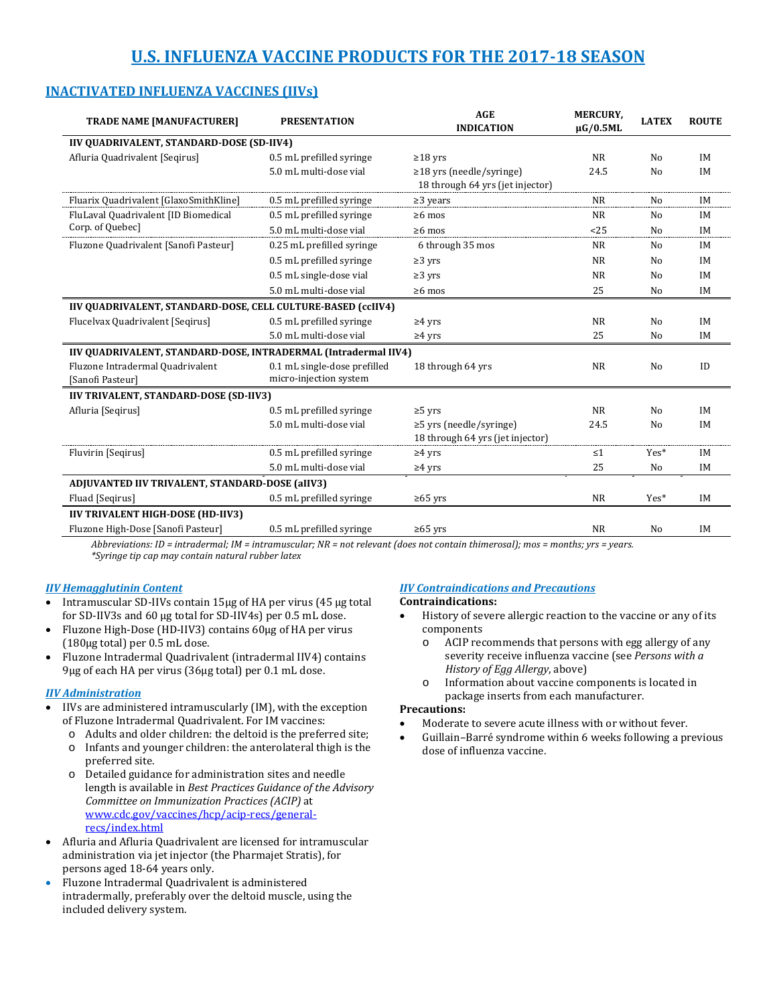# **U.S. INFLUENZA VACCINE PRODUCTS FOR THE 2017-18 SEASON**

| <b>TRADE NAME [MANUFACTURER]</b>                                | <b>PRESENTATION</b>                                    | <b>AGE</b><br><b>INDICATION</b>                                   | <b>MERCURY.</b><br>$\mu$ G/0.5ML | <b>LATEX</b>   | <b>ROUTE</b> |  |  |
|-----------------------------------------------------------------|--------------------------------------------------------|-------------------------------------------------------------------|----------------------------------|----------------|--------------|--|--|
| IIV QUADRIVALENT, STANDARD-DOSE (SD-IIV4)                       |                                                        |                                                                   |                                  |                |              |  |  |
| Afluria Quadrivalent [Seqirus]                                  | 0.5 mL prefilled syringe                               | $\geq$ 18 yrs                                                     | <b>NR</b>                        | N <sub>0</sub> | <b>IM</b>    |  |  |
|                                                                 | 5.0 mL multi-dose vial                                 | $\ge$ 18 yrs (needle/syringe)<br>18 through 64 yrs (jet injector) | 24.5                             | N <sub>0</sub> | IM           |  |  |
| Fluarix Quadrivalent [GlaxoSmithKline]                          | 0.5 mL prefilled syringe                               | $\geq$ 3 years                                                    | <b>NR</b>                        | No             | <b>IM</b>    |  |  |
| FluLaval Quadrivalent [ID Biomedical                            | 0.5 mL prefilled syringe                               | $\geq 6$ mos                                                      | <b>NR</b>                        | No             | IM           |  |  |
| Corp. of Quebec]                                                | 5.0 mL multi-dose vial                                 | $\geq 6$ mos                                                      | <25                              | No             | IM           |  |  |
| Fluzone Quadrivalent [Sanofi Pasteur]                           | 0.25 mL prefilled syringe                              | 6 through 35 mos                                                  | <b>NR</b>                        | N <sub>0</sub> | IM           |  |  |
|                                                                 | 0.5 mL prefilled syringe                               | $\geq$ 3 yrs                                                      | <b>NR</b>                        | No             | IM           |  |  |
|                                                                 | 0.5 mL single-dose vial                                | $\geq$ 3 yrs                                                      | <b>NR</b>                        | No             | <b>IM</b>    |  |  |
|                                                                 | 5.0 mL multi-dose vial                                 | $\geq 6$ mos                                                      | 25                               | No             | IM           |  |  |
| IIV QUADRIVALENT, STANDARD-DOSE, CELL CULTURE-BASED (ccIIV4)    |                                                        |                                                                   |                                  |                |              |  |  |
| Flucelvax Quadrivalent [Seqirus]                                | 0.5 mL prefilled syringe                               | $\geq 4$ yrs                                                      | <b>NR</b>                        | No             | <b>IM</b>    |  |  |
|                                                                 | 5.0 mL multi-dose vial                                 | $\geq 4$ yrs                                                      | 25                               | No             | IM           |  |  |
| IIV QUADRIVALENT, STANDARD-DOSE, INTRADERMAL (Intradermal IIV4) |                                                        |                                                                   |                                  |                |              |  |  |
| Fluzone Intradermal Quadrivalent<br>[Sanofi Pasteur]            | 0.1 mL single-dose prefilled<br>micro-injection system | 18 through 64 yrs                                                 | <b>NR</b>                        | No             | ID           |  |  |
| IIV TRIVALENT, STANDARD-DOSE (SD-IIV3)                          |                                                        |                                                                   |                                  |                |              |  |  |
| Afluria [Seqirus]                                               | 0.5 mL prefilled syringe                               | $\geq$ 5 yrs                                                      | <b>NR</b>                        | No             | <b>IM</b>    |  |  |
|                                                                 | 5.0 mL multi-dose vial                                 | $\ge$ 5 yrs (needle/syringe)<br>18 through 64 yrs (jet injector)  | 24.5                             | No             | IM           |  |  |
| Fluvirin [Segirus]                                              | 0.5 mL prefilled syringe                               | $\geq 4$ yrs                                                      | $\leq 1$                         | Yes*           | IM           |  |  |
|                                                                 | 5.0 mL multi-dose vial                                 | $\geq 4$ yrs                                                      | 25                               | No             | IM           |  |  |
| ADJUVANTED IIV TRIVALENT, STANDARD-DOSE (aIIV3)                 |                                                        |                                                                   |                                  |                |              |  |  |
| Fluad [Seqirus]                                                 | 0.5 mL prefilled syringe                               | $\geq 65$ yrs                                                     | <b>NR</b>                        | Yes*           | IM           |  |  |
| <b>IIV TRIVALENT HIGH-DOSE (HD-IIV3)</b>                        |                                                        |                                                                   |                                  |                |              |  |  |
| Fluzone High-Dose [Sanofi Pasteur]                              | 0.5 mL prefilled syringe                               | $\geq 65$ yrs                                                     | <b>NR</b>                        | N <sub>0</sub> | IM           |  |  |

## **INACTIVATED INFLUENZA VACCINES (IIVs)**

*Abbreviations: ID = intradermal; IM = intramuscular; NR = not relevant (does not contain thimerosal); mos = months; yrs = years. \*Syringe tip cap may contain natural rubber latex*

### *IIV Hemagglutinin Content*

- Intramuscular SD-IIVs contain 15µg of HA per virus (45 µg total for SD-IIV3s and 60 µg total for SD-IIV4s) per 0.5 mL dose.
- Fluzone High-Dose (HD-IIV3) contains 60µg of HA per virus (180µg total) per 0.5 mL dose.
- Fluzone Intradermal Quadrivalent (intradermal IIV4) contains 9µg of each HA per virus (36µg total) per 0.1 mL dose.

### *IIV Administration*

- IIVs are administered intramuscularly (IM), with the exception of Fluzone Intradermal Quadrivalent. For IM vaccines:
	- o Adults and older children: the deltoid is the preferred site;
	- o Infants and younger children: the anterolateral thigh is the preferred site.
	- o Detailed guidance for administration sites and needle length is available in *Best Practices Guidance of the Advisory Committee on Immunization Practices (ACIP)* at [www.cdc.gov/vaccines/hcp/acip-recs/general](https://www.cdc.gov/vaccines/hcp/acip-recs/general-recs/index.html)[recs/index.html](https://www.cdc.gov/vaccines/hcp/acip-recs/general-recs/index.html)
- Afluria and Afluria Quadrivalent are licensed for intramuscular administration via jet injector (the Pharmajet Stratis), for persons aged 18-64 years only.
- Fluzone Intradermal Quadrivalent is administered intradermally, preferably over the deltoid muscle, using the included delivery system.

#### *IIV Contraindications and Precautions* **Contraindications:**

- History of severe allergic reaction to the vaccine or any of its components
	- o ACIP recommends that persons with egg allergy of any severity receive influenza vaccine (see *Persons with a History of Egg Allergy*, above)
	- o Information about vaccine components is located in package inserts from each manufacturer.

### **Precautions:**

- Moderate to severe acute illness with or without fever.
- Guillain–Barré syndrome within 6 weeks following a previous dose of influenza vaccine.